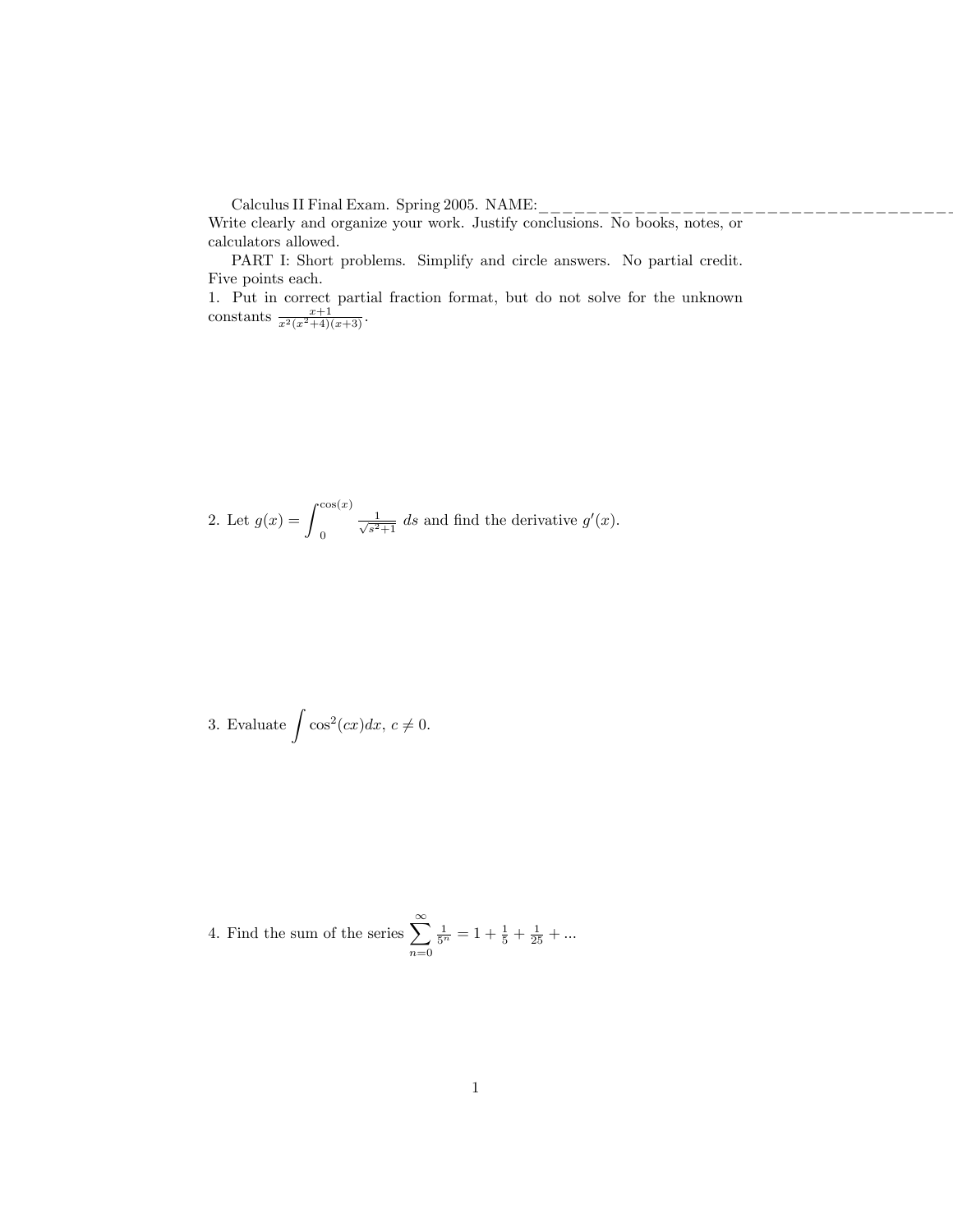Calculus II Final Exam. Spring 2005. NAME:

Write clearly and organize your work. Justify conclusions. No books, notes, or calculators allowed.

PART I: Short problems. Simplify and circle answers. No partial credit. Five points each.

1. Put in correct partial fraction format, but do not solve for the unknown constants  $\frac{x+1}{x^2(x^2+4)(x+3)}$ .

2. Let 
$$
g(x) = \int_0^{\cos(x)} \frac{1}{\sqrt{s^2+1}} ds
$$
 and find the derivative  $g'(x)$ .

3. Evaluate 
$$
\int \cos^2(cx) dx
$$
,  $c \neq 0$ .

4. Find the sum of the series  $\sum_{n=1}^{\infty}$  $n=0$  $\frac{1}{5^n} = 1 + \frac{1}{5} + \frac{1}{25} + \dots$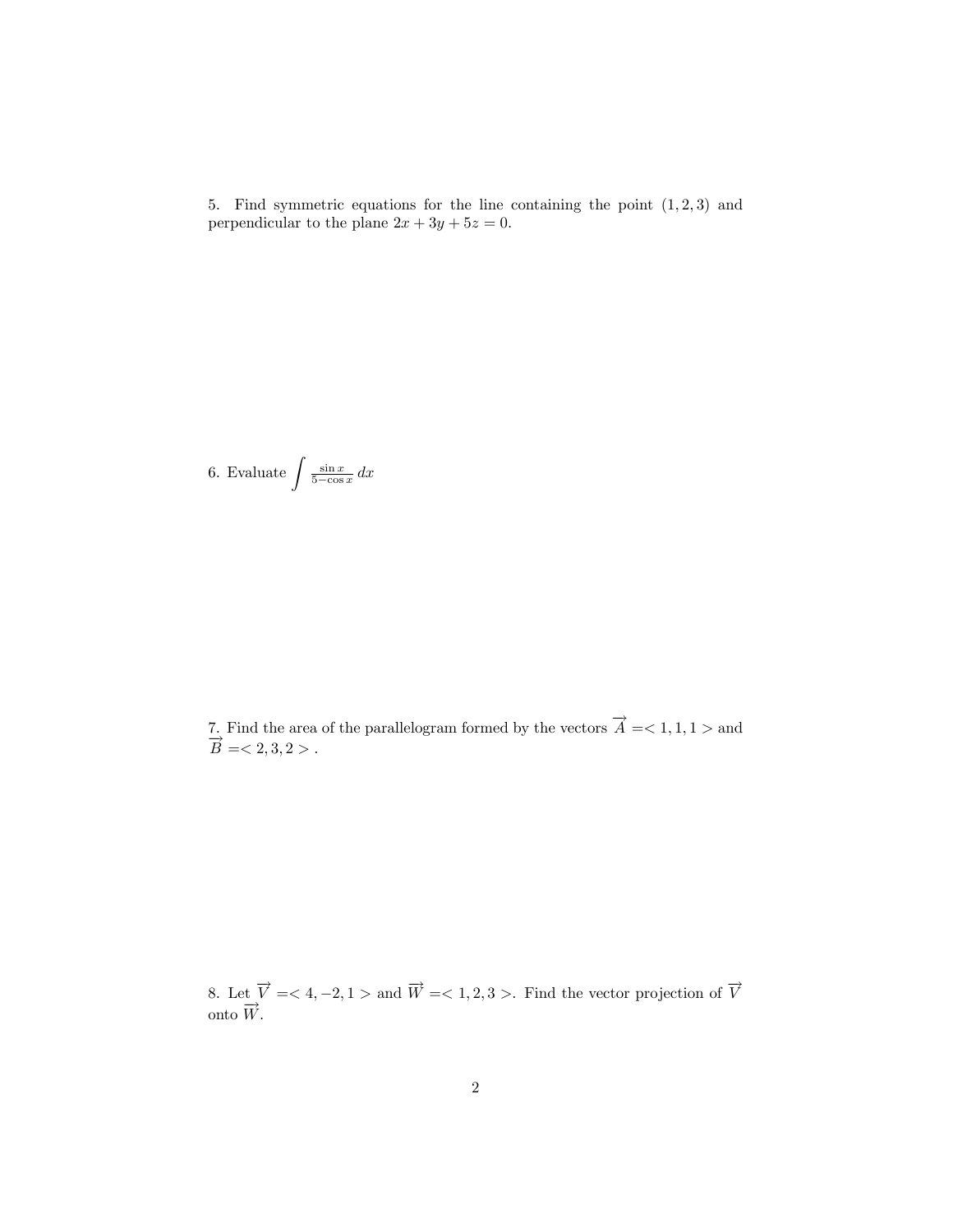5. Find symmetric equations for the line containing the point  $(1, 2, 3)$  and perpendicular to the plane  $2x + 3y + 5z = 0$ .

6. Evaluate  $\int \frac{\sin x}{5-\cos x} dx$ 

7. Find the area of the parallelogram formed by the vectors  $\overrightarrow{A} = < 1, 1, 1 >$  and  $\overrightarrow{B} = <2, 3, 2>$ .

8. Let  $\overrightarrow{V}$  = < 4, -2, 1 > and  $\overrightarrow{W}$  = < 1, 2, 3 >. Find the vector projection of  $\overrightarrow{V}$ onto  $\overrightarrow{W}$ .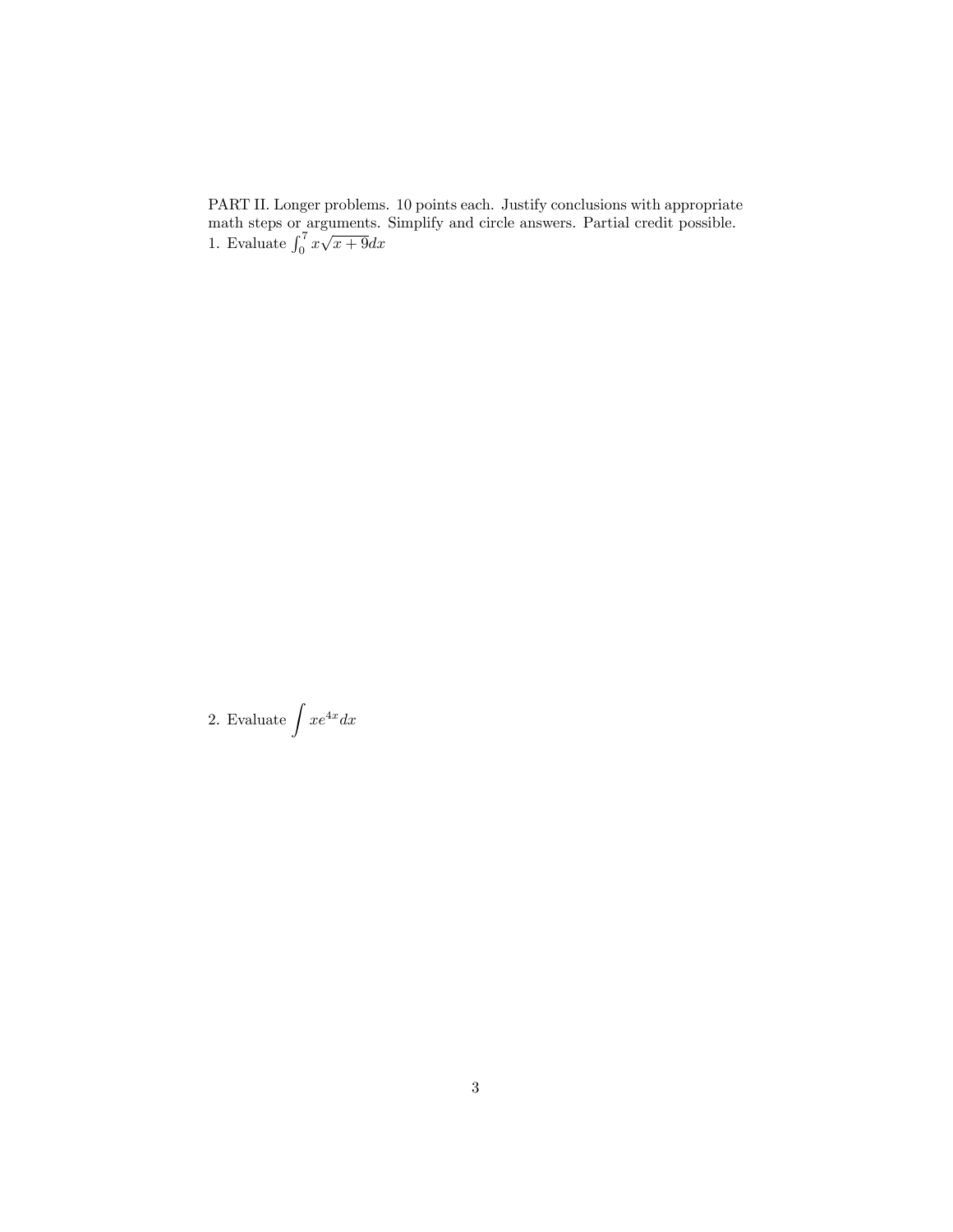PART II. Longer problems. 10 points each. Justify conclusions with appropriate math steps or arguments. Simplify and circle answers. Partial credit possible. 1. Evaluate  $\int_0^7 x\sqrt{x+9}dx$ 

2. Evaluate  $\int xe^{4x} dx$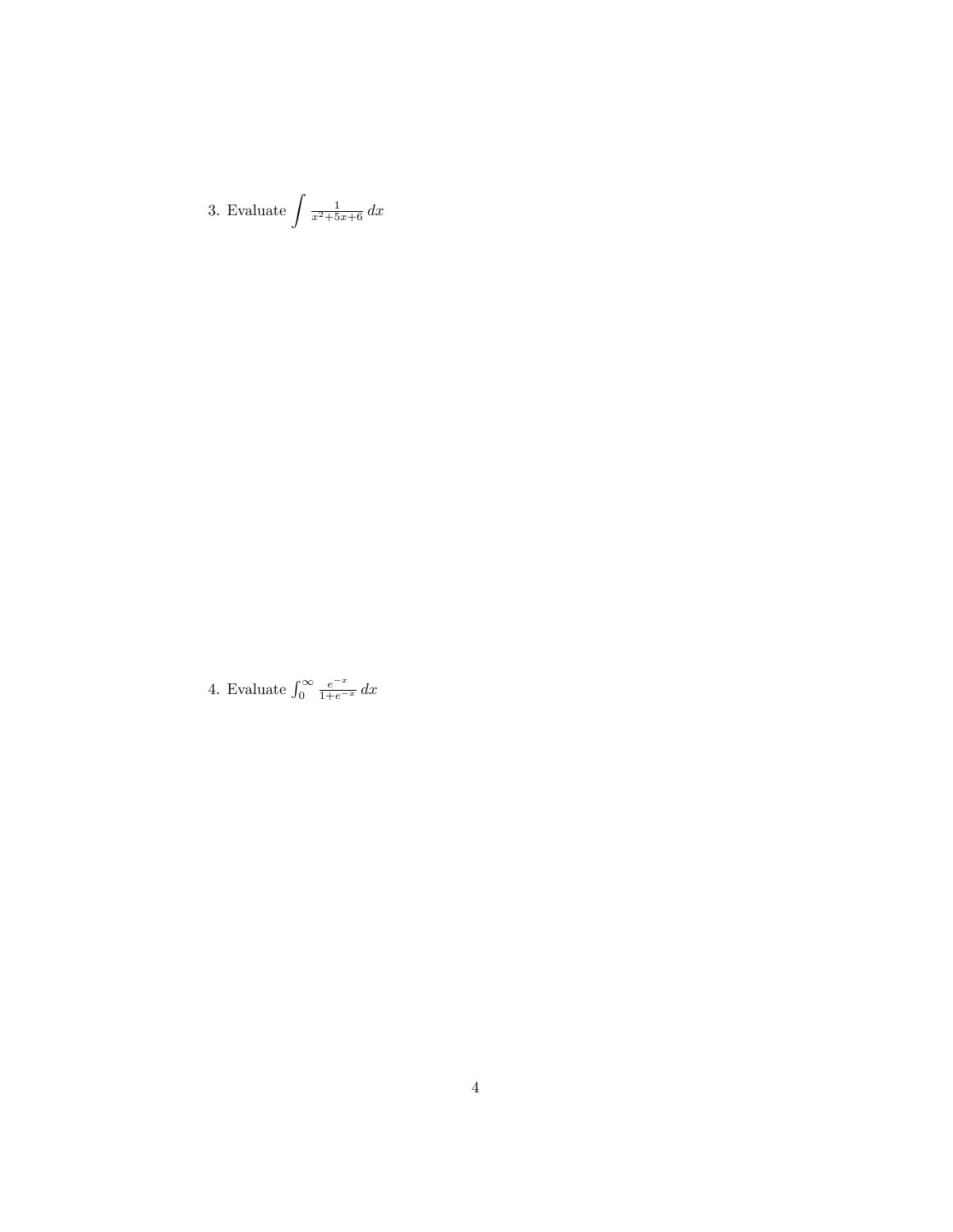3. Evaluate  $\int \frac{1}{x^2+5x+6} dx$ 

4. Evaluate  $\int_0^\infty \frac{e^{-x}}{1+e^{-x}} dx$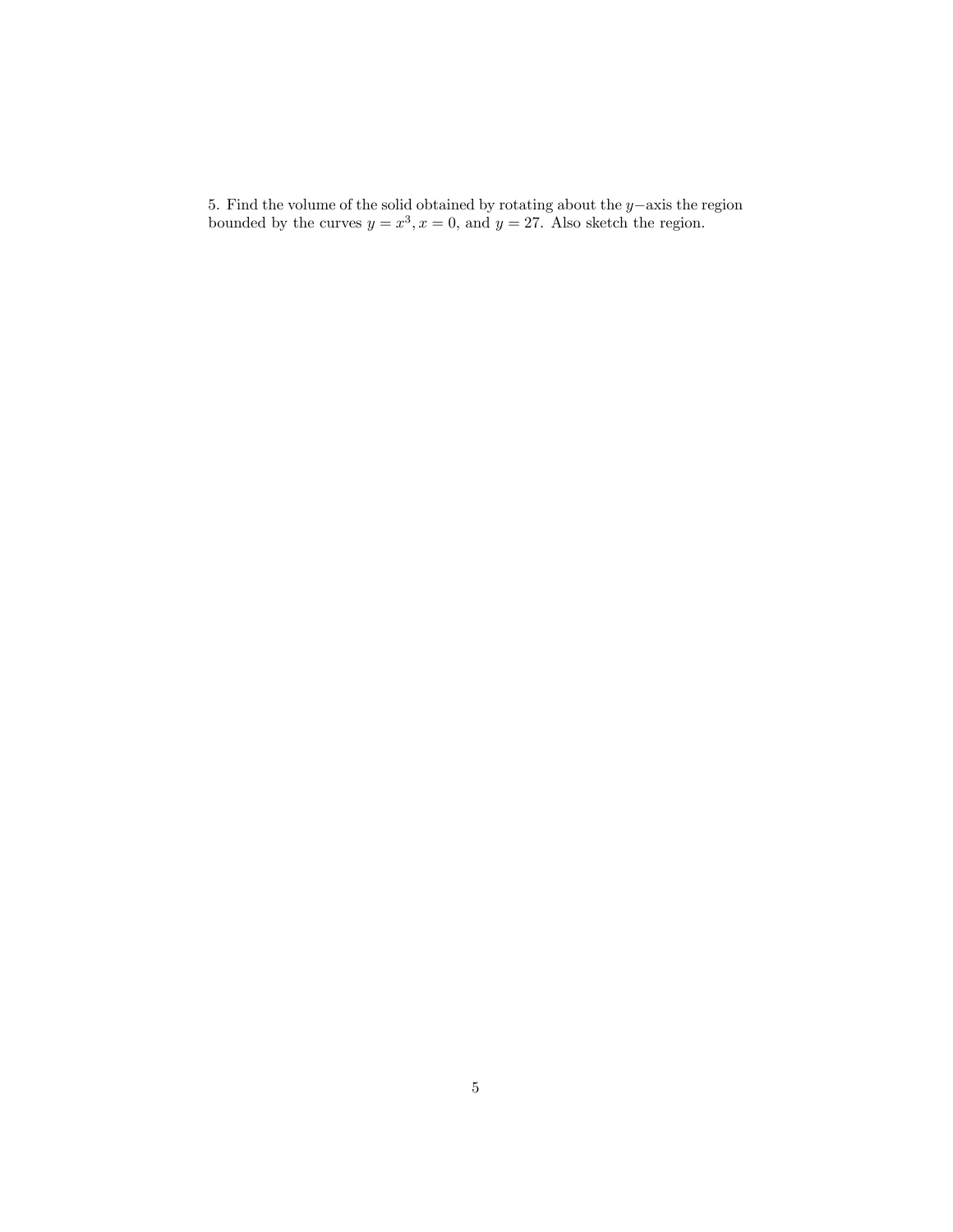5. Find the volume of the solid obtained by rotating about the  $y$ -axis the region bounded by the curves  $y = x^3, x = 0$ , and  $y = 27$ . Also sketch the region.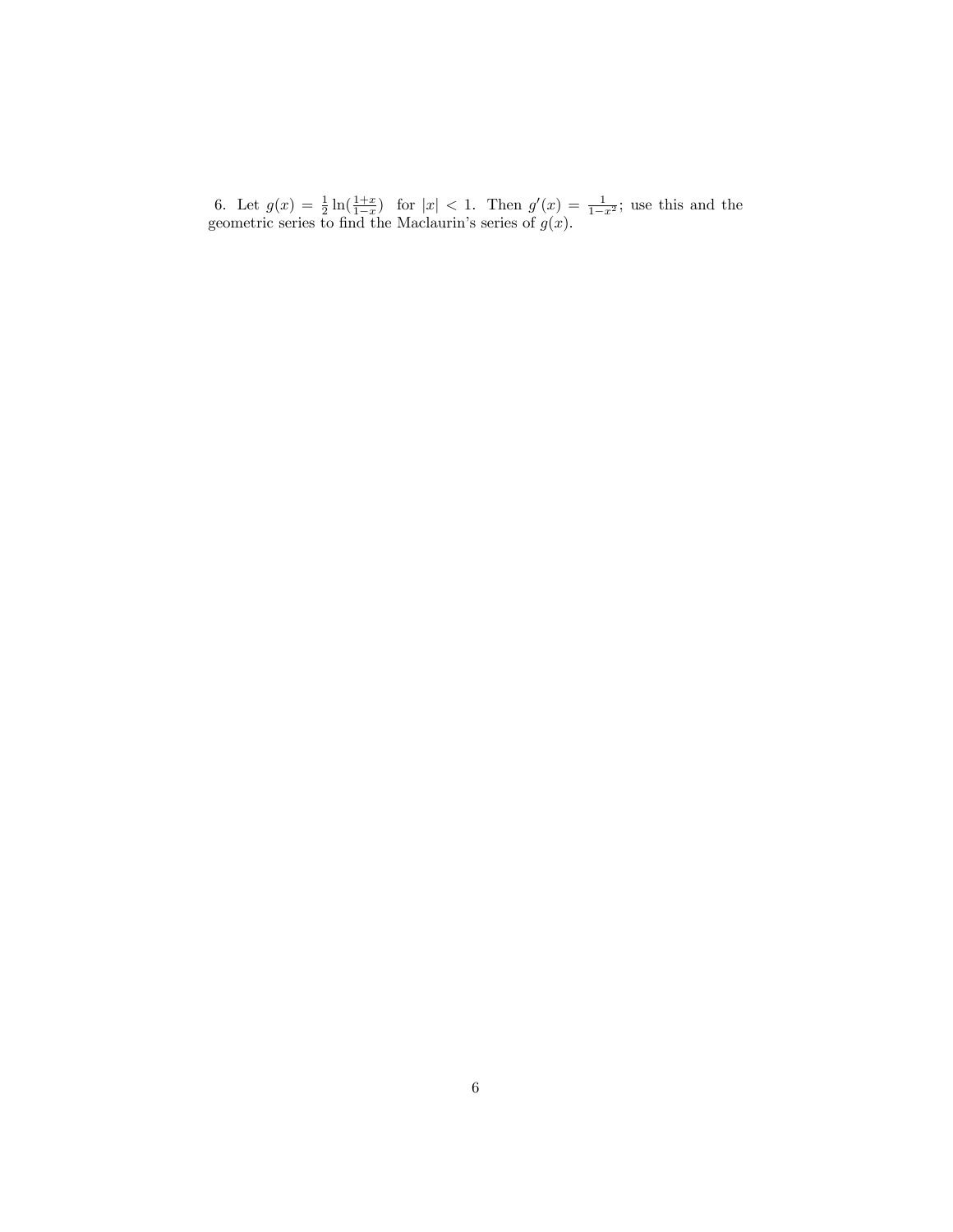6. Let  $g(x) = \frac{1}{2} \ln(\frac{1+x}{1-x})$  for  $|x| < 1$ . Then  $g'(x) = \frac{1}{1-x^2}$ ; use this and the geometric series to find the Maclaurin's series of  $g(x)$ .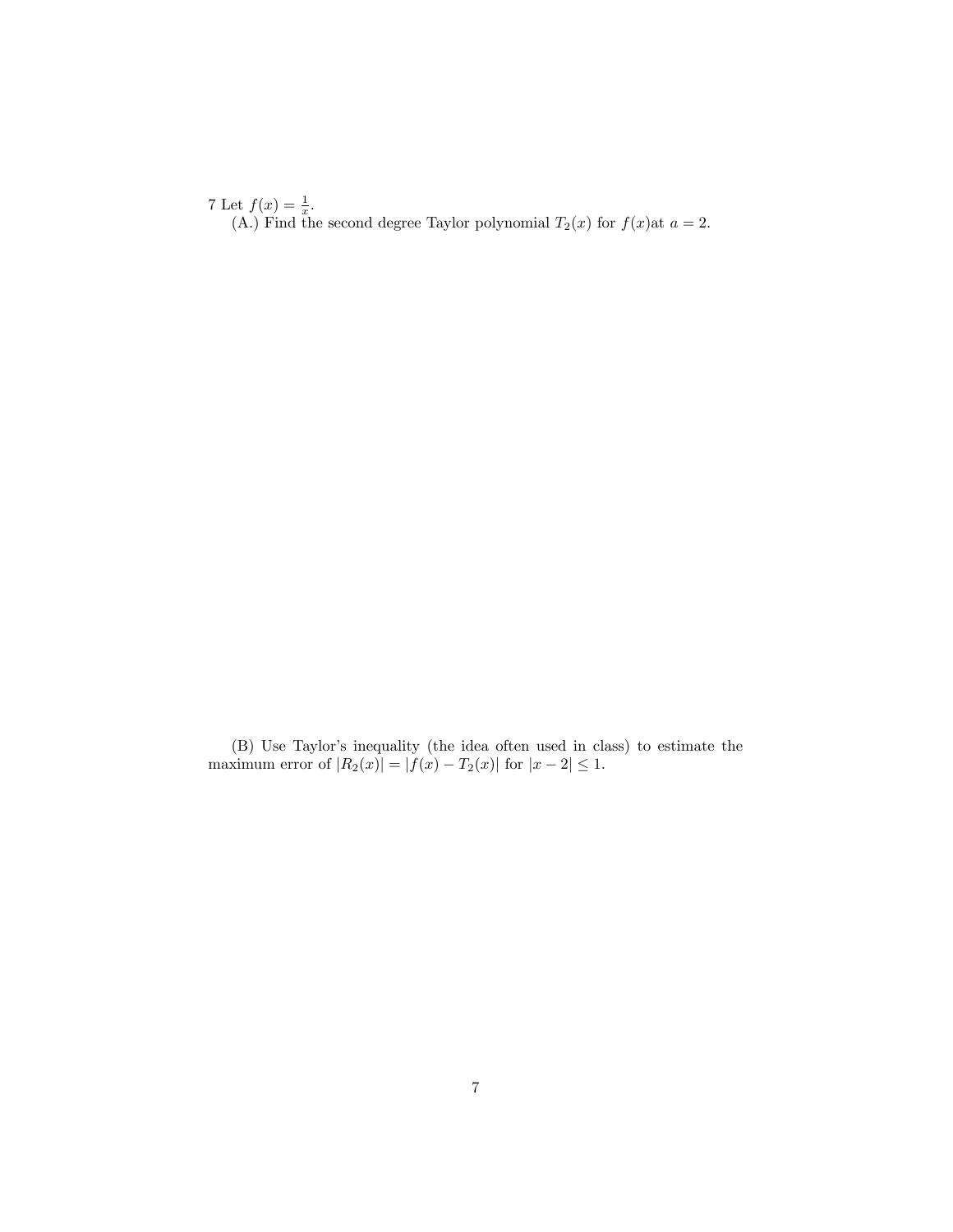7 Let  $f(x) = \frac{1}{x}$ . (A.) Find the second degree Taylor polynomial  $T_2(x)$  for  $f(x)$ at  $a = 2$ .

(B) Use Taylor's inequality (the idea often used in class) to estimate the maximum error of  $|R_2(x)| = |f(x) - T_2(x)|$  for  $|x - 2| \le 1$ .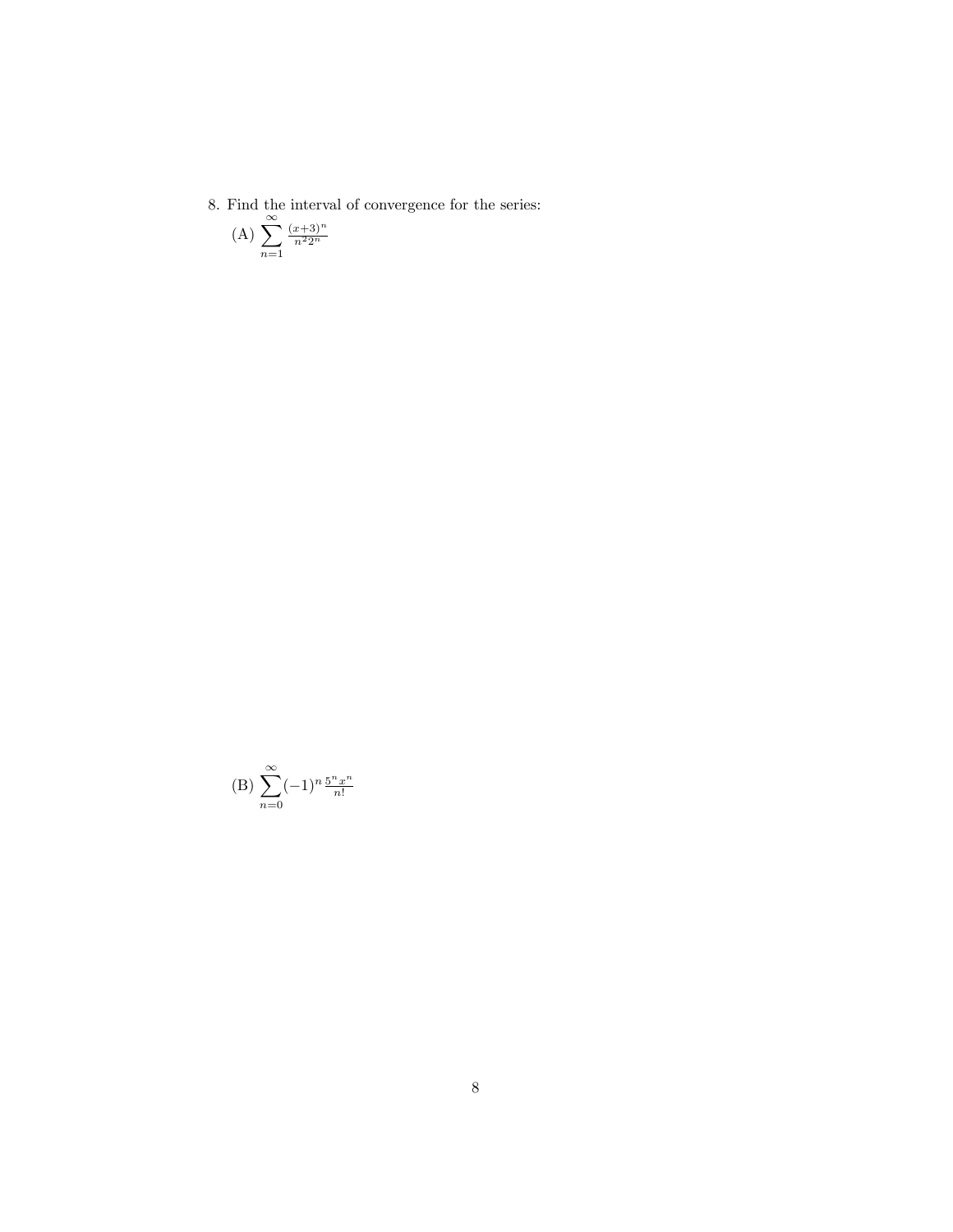$8. \,$  Find the interval of convergence for the series:

(A) 
$$
\sum_{n=1}^{\infty} \frac{(x+3)^n}{n^2 2^n}
$$

(B) 
$$
\sum_{n=0}^{\infty} (-1)^n \frac{5^n x^n}{n!}
$$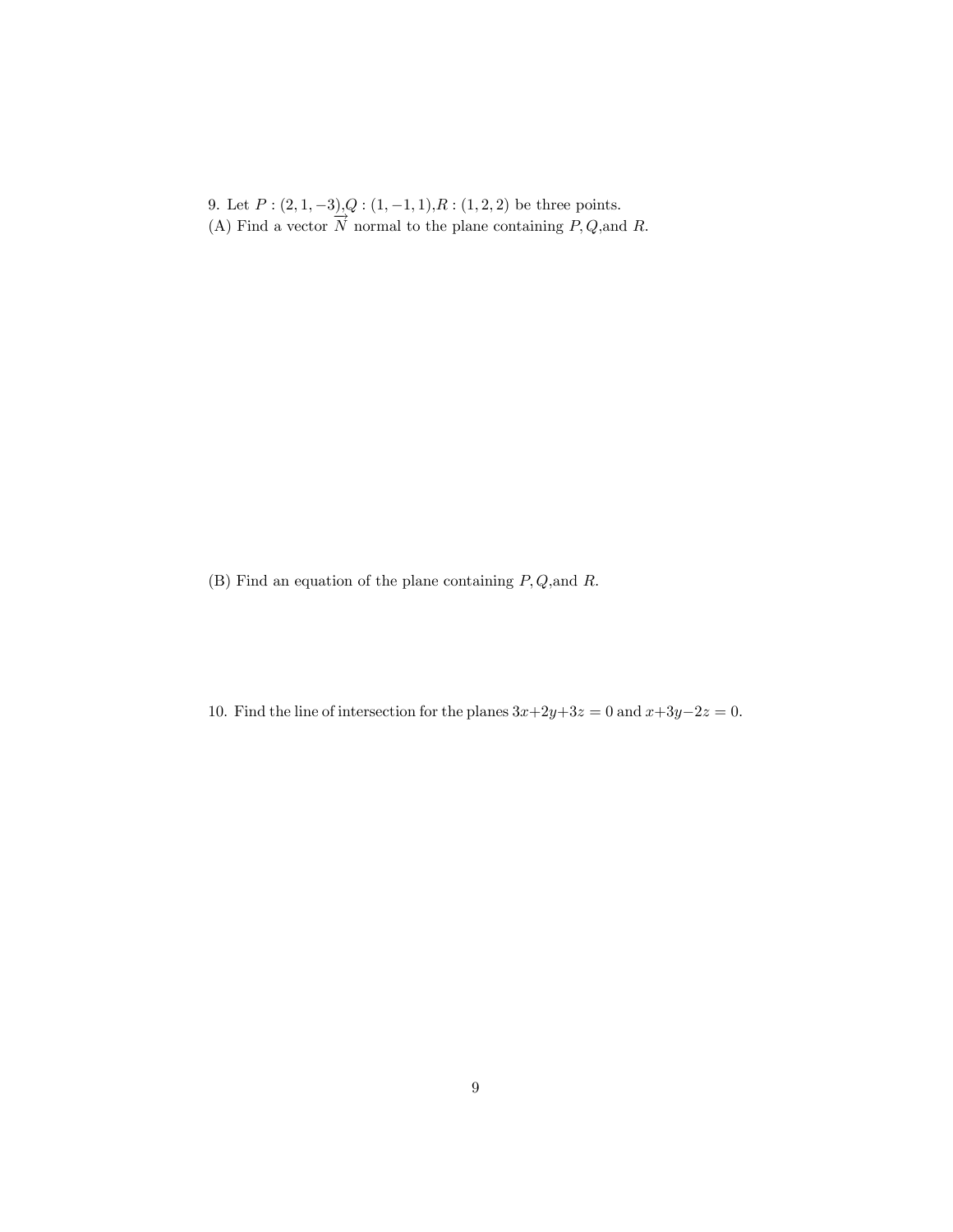9. Let  $P: (2, 1, -3)$ ,  $Q: (1, -1, 1), R: (1, 2, 2)$  be three points. (A) Find a vector  $\overrightarrow{N}$  normal to the plane containing P, Q, and R.

(B) Find an equation of the plane containing  $P, Q$ , and  $R$ .

10. Find the line of intersection for the planes  $3x+2y+3z = 0$  and  $x+3y-2z = 0$ .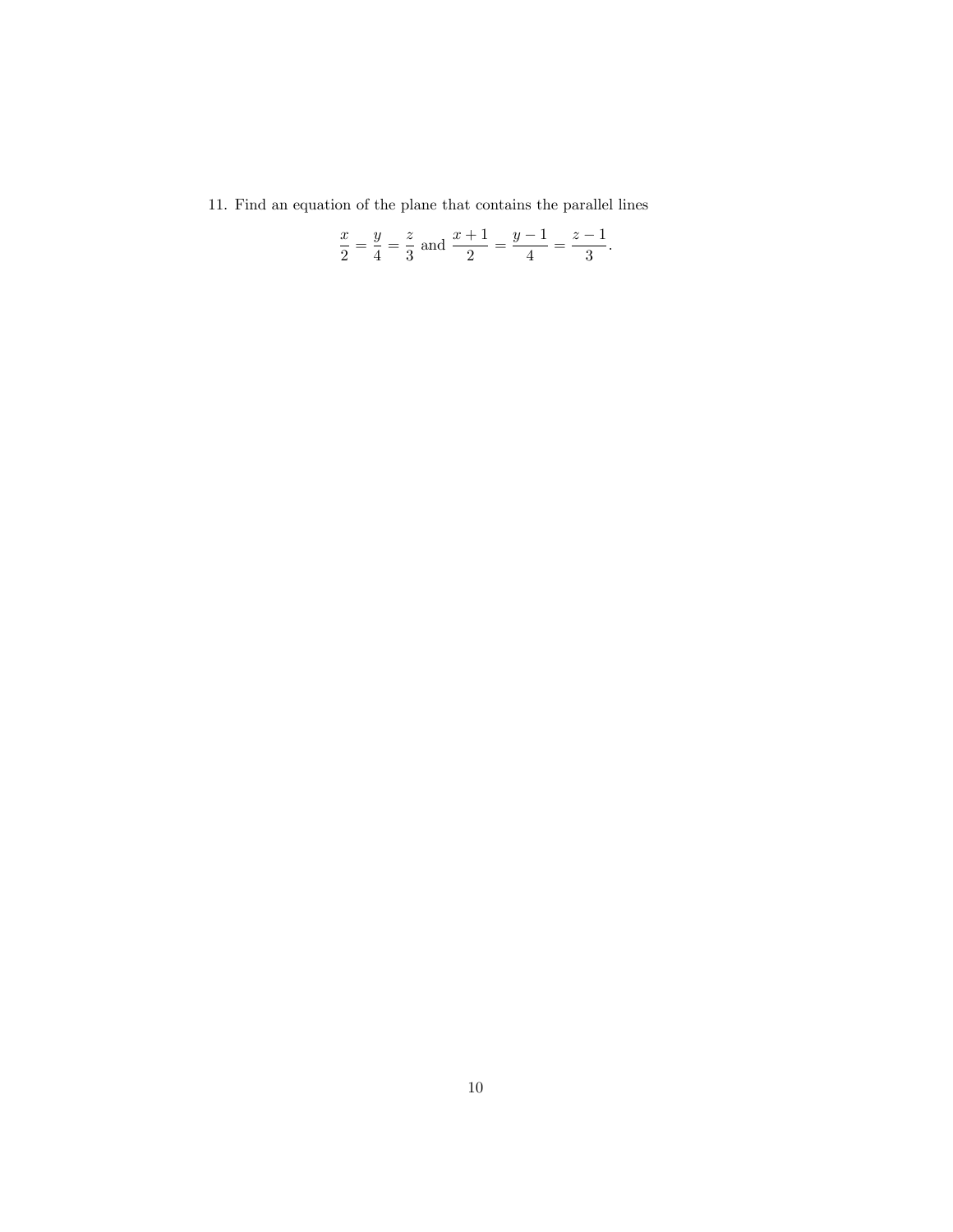11. Find an equation of the plane that contains the parallel lines

$$
rac{x}{2} = \frac{y}{4} = \frac{z}{3}
$$
 and  $rac{x+1}{2} = \frac{y-1}{4} = \frac{z-1}{3}$ .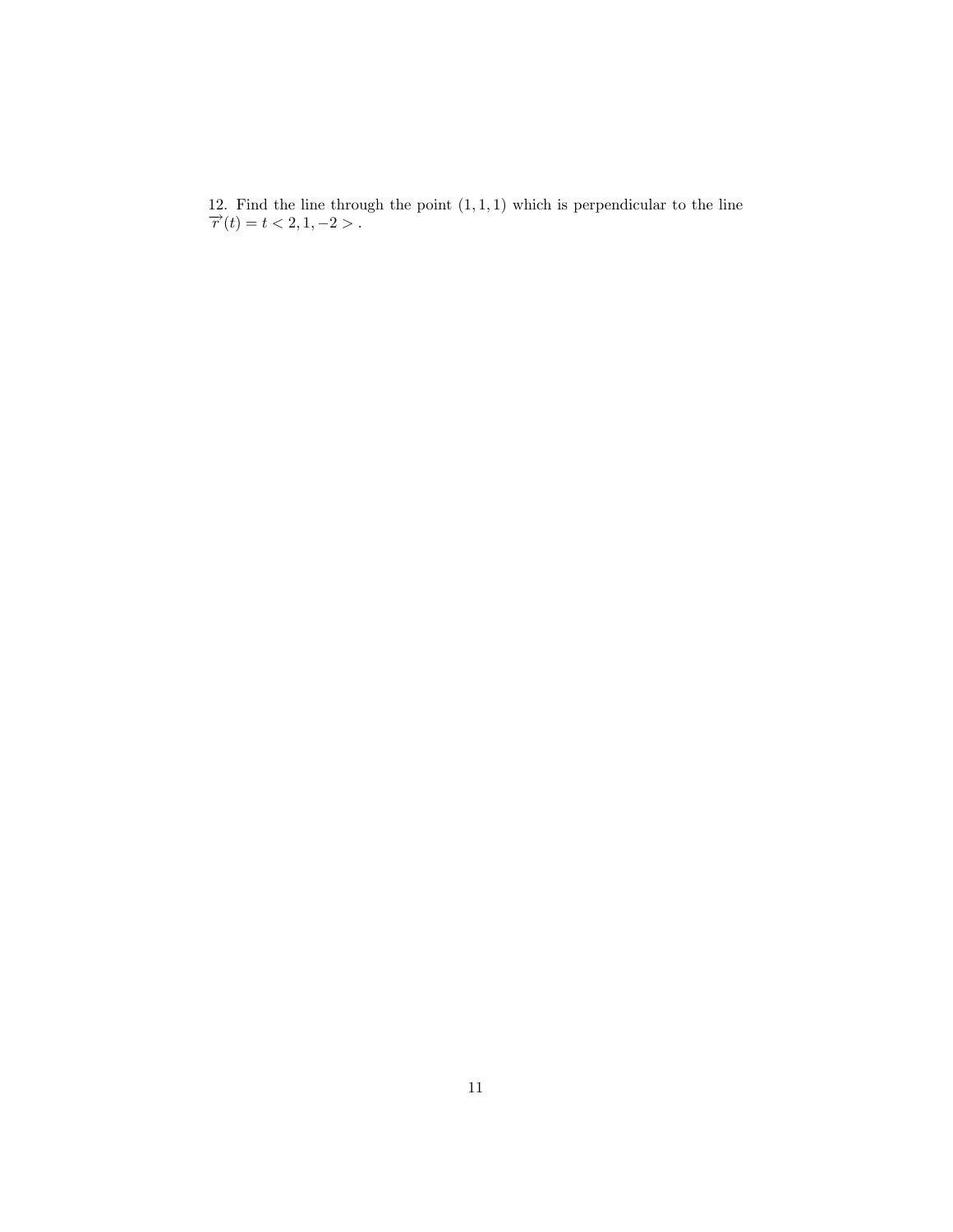12. Find the line through the point  $(1,1,1)$  which is perpendicular to the line  $\overrightarrow{r}(t) = t < 2, 1, -2 >$ .